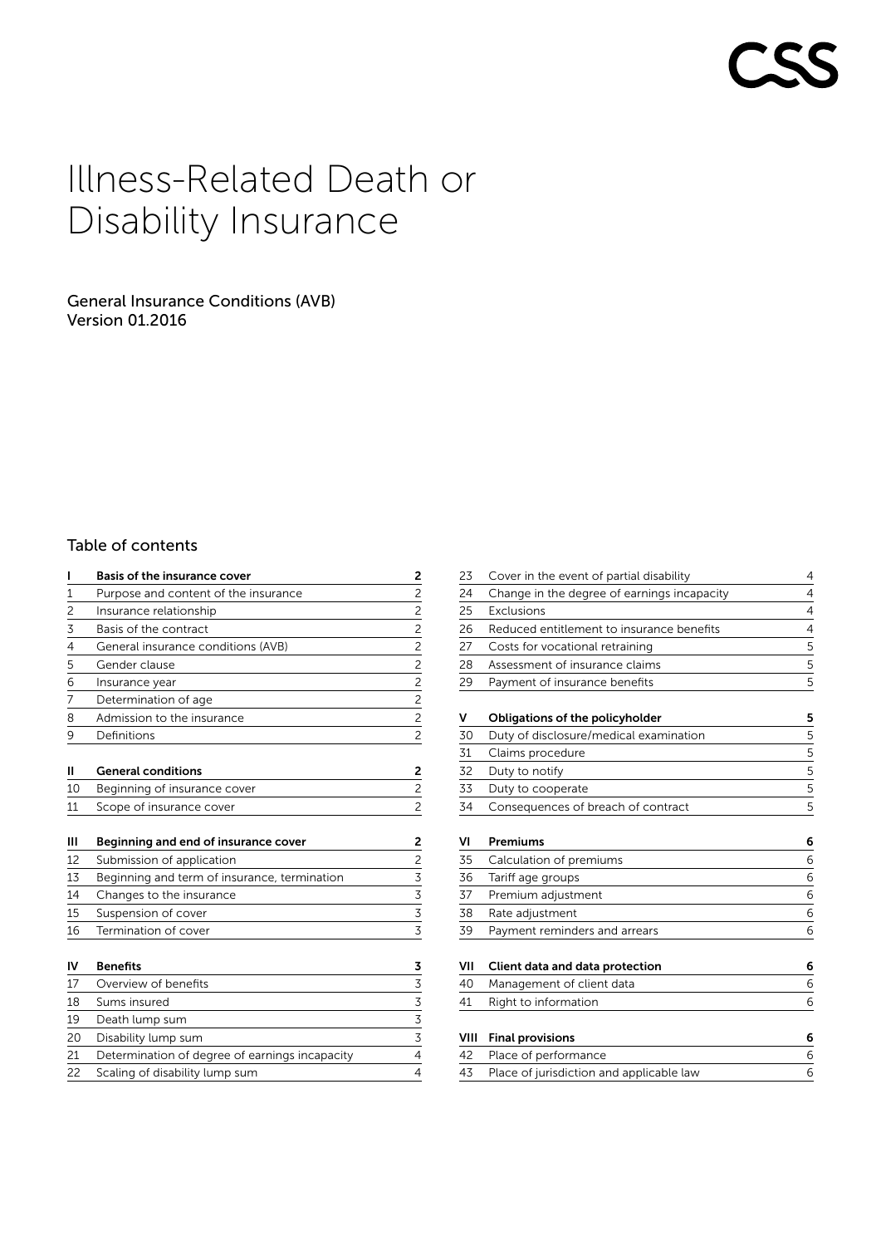# Illness-Related Death or Disability Insurance

# General Insurance Conditions (AVB) Version 01.2016

# Table of contents

|                                                | 2                            |
|------------------------------------------------|------------------------------|
| Purpose and content of the insurance           |                              |
| Insurance relationship                         | $\frac{2}{2}$                |
| Basis of the contract                          | $\overline{2}$               |
| General insurance conditions (AVB)             | $\overline{2}$               |
| Gender clause                                  | $\overline{2}$               |
| Insurance year                                 | $\frac{2}{2}$                |
| Determination of age                           |                              |
| Admission to the insurance                     | $\frac{2}{2}$                |
| Definitions                                    | $\overline{c}$               |
| <b>General conditions</b>                      | 2                            |
| Beginning of insurance cover                   | $\overline{c}$               |
| Scope of insurance cover                       | $\overline{c}$               |
| Beginning and end of insurance cover           | 2                            |
| Submission of application                      |                              |
| Beginning and term of insurance, termination   | $\frac{2}{3}$                |
| Changes to the insurance                       |                              |
| Suspension of cover                            | $\frac{3}{3}$                |
| Termination of cover                           |                              |
| <b>Benefits</b>                                | 3                            |
| Overview of benefits                           | $\overline{3}$               |
| Sums insured                                   |                              |
| Death lump sum                                 | $\frac{3}{3}$ $\frac{3}{3}$  |
| Disability lump sum                            |                              |
| Determination of degree of earnings incapacity | 4                            |
| Scaling of disability lump sum                 | $\overline{4}$               |
|                                                | Basis of the insurance cover |

| 23   | Cover in the event of partial disability    | 4 |
|------|---------------------------------------------|---|
| 24   | Change in the degree of earnings incapacity | 4 |
| 25   | Exclusions                                  | 4 |
| 26   | Reduced entitlement to insurance benefits   | 4 |
| 27   | Costs for vocational retraining             | 5 |
| 28   | Assessment of insurance claims              | 5 |
| 29   | Payment of insurance benefits               | 5 |
| v    | Obligations of the policyholder             | 5 |
| 30   | Duty of disclosure/medical examination      | 5 |
| 31   | Claims procedure                            | 5 |
| 32   | Duty to notify                              | 5 |
| 33   | Duty to cooperate                           | 5 |
| 34   | Consequences of breach of contract          | 5 |
| ٧I   | Premiums                                    | 6 |
| 35   | Calculation of premiums                     | 6 |
| 36   | Tariff age groups                           | 6 |
| 37   | Premium adjustment                          | 6 |
| 38   | Rate adjustment                             | 6 |
| 39   | Payment reminders and arrears               | 6 |
| VII  | Client data and data protection             | 6 |
| 40   | Management of client data                   | 6 |
| 41   | Right to information                        | 6 |
| VIII | <b>Final provisions</b>                     | 6 |
|      |                                             |   |

| 42 Place of performance                     |  |
|---------------------------------------------|--|
| 43 Place of jurisdiction and applicable law |  |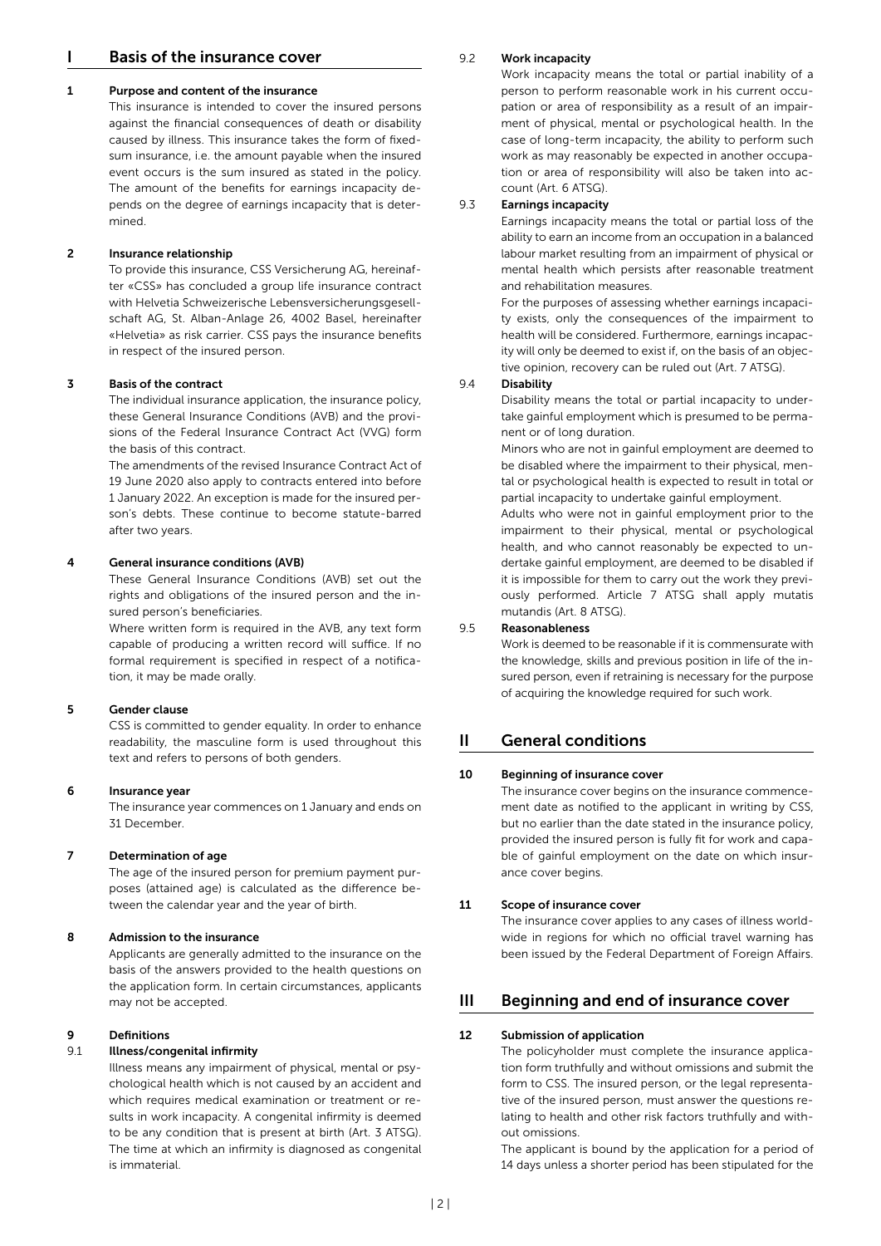# I Basis of the insurance cover

#### 1 Purpose and content of the insurance

This insurance is intended to cover the insured persons against the financial consequences of death or disability caused by illness. This insurance takes the form of fixedsum insurance, i.e. the amount payable when the insured event occurs is the sum insured as stated in the policy. The amount of the benefits for earnings incapacity depends on the degree of earnings incapacity that is determined.

#### 2 Insurance relationship

To provide this insurance, CSS Versicherung AG, hereinafter «CSS» has concluded a group life insurance contract with Helvetia Schweizerische Lebensversicherungsgesellschaft AG, St. Alban-Anlage 26, 4002 Basel, hereinafter «Helvetia» as risk carrier. CSS pays the insurance benefits in respect of the insured person.

#### 3 Basis of the contract

The individual insurance application, the insurance policy, these General Insurance Conditions (AVB) and the provisions of the Federal Insurance Contract Act (VVG) form the basis of this contract.

The amendments of the revised Insurance Contract Act of 19 June 2020 also apply to contracts entered into before 1 January 2022. An exception is made for the insured person's debts. These continue to become statute-barred after two years.

#### 4 General insurance conditions (AVB)

These General Insurance Conditions (AVB) set out the rights and obligations of the insured person and the insured person's beneficiaries.

Where written form is required in the AVB, any text form capable of producing a written record will suffice. If no formal requirement is specified in respect of a notification, it may be made orally.

#### 5 Gender clause

CSS is committed to gender equality. In order to enhance readability, the masculine form is used throughout this text and refers to persons of both genders.

#### 6 Insurance year

The insurance year commences on 1 January and ends on 31 December.

#### 7 Determination of age

The age of the insured person for premium payment purposes (attained age) is calculated as the difference between the calendar year and the year of birth.

#### 8 Admission to the insurance

Applicants are generally admitted to the insurance on the basis of the answers provided to the health questions on the application form. In certain circumstances, applicants may not be accepted.

#### 9 Definitions

#### 9.1 Illness/congenital infirmity

Illness means any impairment of physical, mental or psychological health which is not caused by an accident and which requires medical examination or treatment or results in work incapacity. A congenital infirmity is deemed to be any condition that is present at birth (Art. 3 ATSG). The time at which an infirmity is diagnosed as congenital is immaterial.

#### 9.2 Work incapacity

Work incapacity means the total or partial inability of a person to perform reasonable work in his current occupation or area of responsibility as a result of an impairment of physical, mental or psychological health. In the case of long-term incapacity, the ability to perform such work as may reasonably be expected in another occupation or area of responsibility will also be taken into account (Art. 6 ATSG).

#### 9.3 Earnings incapacity

Earnings incapacity means the total or partial loss of the ability to earn an income from an occupation in a balanced labour market resulting from an impairment of physical or mental health which persists after reasonable treatment and rehabilitation measures.

For the purposes of assessing whether earnings incapacity exists, only the consequences of the impairment to health will be considered. Furthermore, earnings incapacity will only be deemed to exist if, on the basis of an objective opinion, recovery can be ruled out (Art. 7 ATSG).

#### 9.4 Disability

Disability means the total or partial incapacity to undertake gainful employment which is presumed to be permanent or of long duration.

Minors who are not in gainful employment are deemed to be disabled where the impairment to their physical, mental or psychological health is expected to result in total or partial incapacity to undertake gainful employment.

Adults who were not in gainful employment prior to the impairment to their physical, mental or psychological health, and who cannot reasonably be expected to undertake gainful employment, are deemed to be disabled if it is impossible for them to carry out the work they previously performed. Article 7 ATSG shall apply mutatis mutandis (Art. 8 ATSG).

#### 9.5 Reasonableness

Work is deemed to be reasonable if it is commensurate with the knowledge, skills and previous position in life of the insured person, even if retraining is necessary for the purpose of acquiring the knowledge required for such work.

### II General conditions

#### 10 Beginning of insurance cover

The insurance cover begins on the insurance commencement date as notified to the applicant in writing by CSS, but no earlier than the date stated in the insurance policy, provided the insured person is fully fit for work and capable of gainful employment on the date on which insurance cover begins.

#### 11 Scope of insurance cover

The insurance cover applies to any cases of illness worldwide in regions for which no official travel warning has been issued by the Federal Department of Foreign Affairs.

#### III Beginning and end of insurance cover

#### 12 Submission of application

The policyholder must complete the insurance application form truthfully and without omissions and submit the form to CSS. The insured person, or the legal representative of the insured person, must answer the questions relating to health and other risk factors truthfully and without omissions.

The applicant is bound by the application for a period of 14 days unless a shorter period has been stipulated for the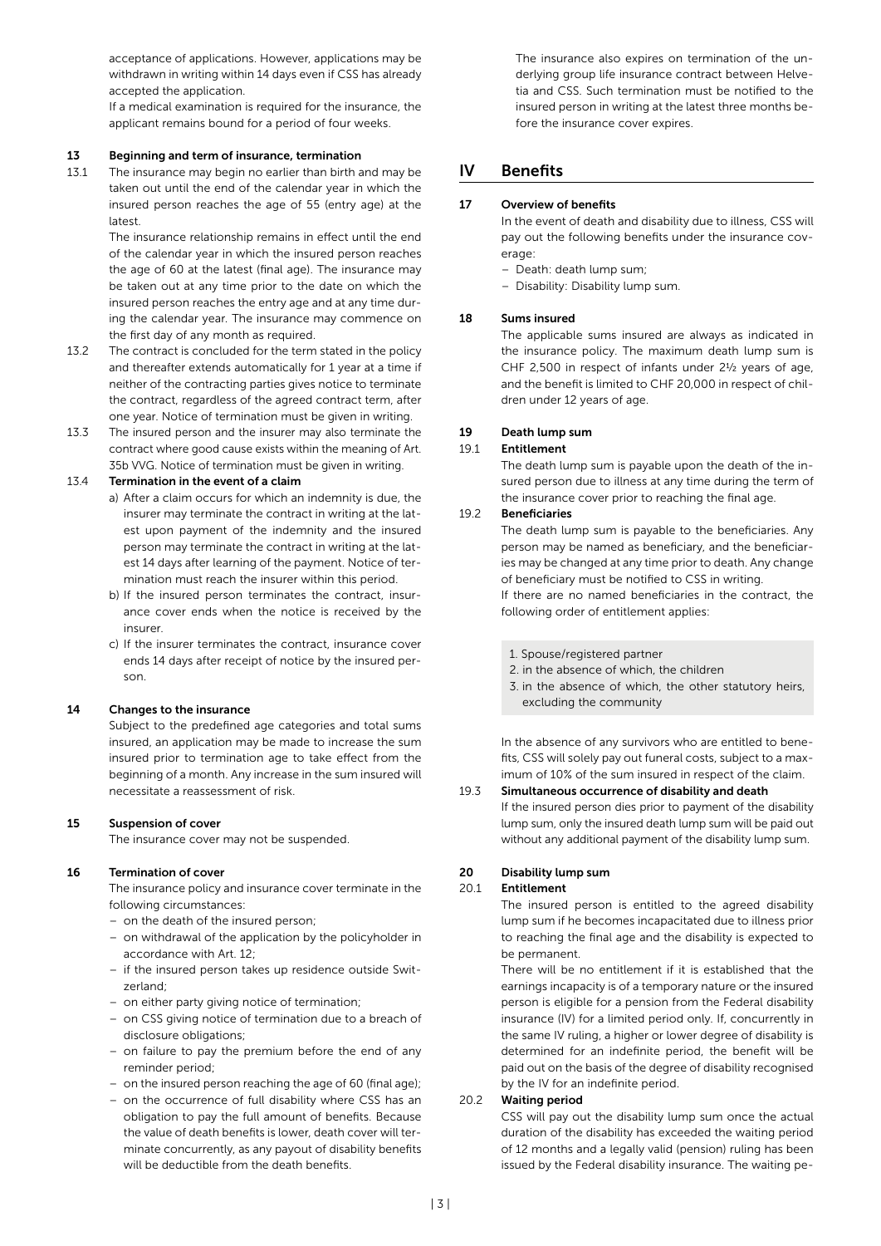acceptance of applications. However, applications may be withdrawn in writing within 14 days even if CSS has already accepted the application.

If a medical examination is required for the insurance, the applicant remains bound for a period of four weeks.

#### 13 Beginning and term of insurance, termination

13.1 The insurance may begin no earlier than birth and may be taken out until the end of the calendar year in which the insured person reaches the age of 55 (entry age) at the latest.

> The insurance relationship remains in effect until the end of the calendar year in which the insured person reaches the age of 60 at the latest (final age). The insurance may be taken out at any time prior to the date on which the insured person reaches the entry age and at any time during the calendar year. The insurance may commence on the first day of any month as required.

- 13.2 The contract is concluded for the term stated in the policy and thereafter extends automatically for 1 year at a time if neither of the contracting parties gives notice to terminate the contract, regardless of the agreed contract term, after one year. Notice of termination must be given in writing.
- 13.3 The insured person and the insurer may also terminate the contract where good cause exists within the meaning of Art. 35b VVG. Notice of termination must be given in writing.

#### 13.4 Termination in the event of a claim

- a) After a claim occurs for which an indemnity is due, the insurer may terminate the contract in writing at the latest upon payment of the indemnity and the insured person may terminate the contract in writing at the latest 14 days after learning of the payment. Notice of termination must reach the insurer within this period.
- b) If the insured person terminates the contract, insurance cover ends when the notice is received by the insurer.
- c) If the insurer terminates the contract, insurance cover ends 14 days after receipt of notice by the insured person.

#### 14 Changes to the insurance

Subject to the predefined age categories and total sums insured, an application may be made to increase the sum insured prior to termination age to take effect from the beginning of a month. Any increase in the sum insured will necessitate a reassessment of risk.

#### 15 Suspension of cover

The insurance cover may not be suspended.

#### 16 Termination of cover

The insurance policy and insurance cover terminate in the following circumstances:

- on the death of the insured person;
- on withdrawal of the application by the policyholder in accordance with Art. 12;
- if the insured person takes up residence outside Switzerland;
- on either party giving notice of termination;
- on CSS giving notice of termination due to a breach of disclosure obligations;
- on failure to pay the premium before the end of any reminder period;
- on the insured person reaching the age of 60 (final age);
- on the occurrence of full disability where CSS has an obligation to pay the full amount of benefits. Because the value of death benefits is lower, death cover will terminate concurrently, as any payout of disability benefits will be deductible from the death benefits.

 The insurance also expires on termination of the underlying group life insurance contract between Helvetia and CSS. Such termination must be notified to the insured person in writing at the latest three months before the insurance cover expires.

# IV Benefits

#### 17 Overview of benefits

In the event of death and disability due to illness, CSS will pay out the following benefits under the insurance coverage<sup>.</sup>

- Death: death lump sum;
- Disability: Disability lump sum.

#### 18 Sums insured

The applicable sums insured are always as indicated in the insurance policy. The maximum death lump sum is CHF 2,500 in respect of infants under 2½ years of age, and the benefit is limited to CHF 20,000 in respect of children under 12 years of age.

#### 19 Death lump sum

#### 19.1 Entitlement

The death lump sum is payable upon the death of the insured person due to illness at any time during the term of the insurance cover prior to reaching the final age.

#### 19.2 Beneficiaries

The death lump sum is payable to the beneficiaries. Any person may be named as beneficiary, and the beneficiaries may be changed at any time prior to death. Any change of beneficiary must be notified to CSS in writing. If there are no named beneficiaries in the contract, the following order of entitlement applies:

- 1. Spouse/registered partner
- 2. in the absence of which, the children
- 3. in the absence of which, the other statutory heirs, excluding the community

In the absence of any survivors who are entitled to benefits, CSS will solely pay out funeral costs, subject to a maximum of 10% of the sum insured in respect of the claim.

19.3 Simultaneous occurrence of disability and death If the insured person dies prior to payment of the disability lump sum, only the insured death lump sum will be paid out without any additional payment of the disability lump sum.

#### 20 Disability lump sum

#### 20.1 Entitlement

The insured person is entitled to the agreed disability lump sum if he becomes incapacitated due to illness prior to reaching the final age and the disability is expected to be permanent.

There will be no entitlement if it is established that the earnings incapacity is of a temporary nature or the insured person is eligible for a pension from the Federal disability insurance (IV) for a limited period only. If, concurrently in the same IV ruling, a higher or lower degree of disability is determined for an indefinite period, the benefit will be paid out on the basis of the degree of disability recognised by the IV for an indefinite period.

#### 20.2 Waiting period

CSS will pay out the disability lump sum once the actual duration of the disability has exceeded the waiting period of 12 months and a legally valid (pension) ruling has been issued by the Federal disability insurance. The waiting pe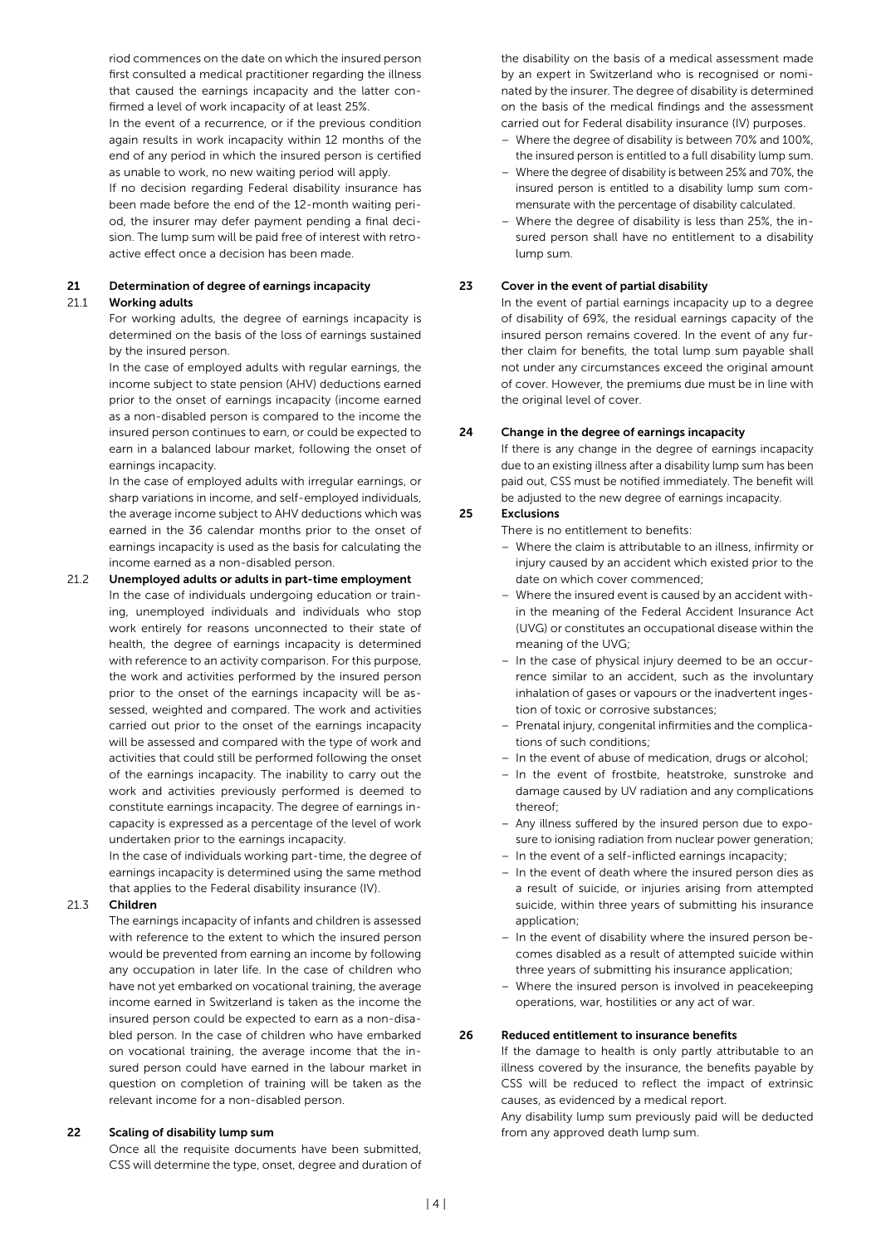riod commences on the date on which the insured person first consulted a medical practitioner regarding the illness that caused the earnings incapacity and the latter confirmed a level of work incapacity of at least 25%.

In the event of a recurrence, or if the previous condition again results in work incapacity within 12 months of the end of any period in which the insured person is certified as unable to work, no new waiting period will apply.

If no decision regarding Federal disability insurance has been made before the end of the 12-month waiting period, the insurer may defer payment pending a final decision. The lump sum will be paid free of interest with retroactive effect once a decision has been made.

# 21 Determination of degree of earnings incapacity

#### 21.1 Working adults

For working adults, the degree of earnings incapacity is determined on the basis of the loss of earnings sustained by the insured person.

In the case of employed adults with regular earnings, the income subject to state pension (AHV) deductions earned prior to the onset of earnings incapacity (income earned as a non-disabled person is compared to the income the insured person continues to earn, or could be expected to earn in a balanced labour market, following the onset of earnings incapacity.

In the case of employed adults with irregular earnings, or sharp variations in income, and self-employed individuals, the average income subject to AHV deductions which was earned in the 36 calendar months prior to the onset of earnings incapacity is used as the basis for calculating the income earned as a non-disabled person.

#### 21.2 Unemployed adults or adults in part-time employment

In the case of individuals undergoing education or training, unemployed individuals and individuals who stop work entirely for reasons unconnected to their state of health, the degree of earnings incapacity is determined with reference to an activity comparison. For this purpose, the work and activities performed by the insured person prior to the onset of the earnings incapacity will be assessed, weighted and compared. The work and activities carried out prior to the onset of the earnings incapacity will be assessed and compared with the type of work and activities that could still be performed following the onset of the earnings incapacity. The inability to carry out the work and activities previously performed is deemed to constitute earnings incapacity. The degree of earnings incapacity is expressed as a percentage of the level of work undertaken prior to the earnings incapacity.

In the case of individuals working part-time, the degree of earnings incapacity is determined using the same method that applies to the Federal disability insurance (IV).

#### 21.3 Children

The earnings incapacity of infants and children is assessed with reference to the extent to which the insured person would be prevented from earning an income by following any occupation in later life. In the case of children who have not yet embarked on vocational training, the average income earned in Switzerland is taken as the income the insured person could be expected to earn as a non-disabled person. In the case of children who have embarked on vocational training, the average income that the insured person could have earned in the labour market in question on completion of training will be taken as the relevant income for a non-disabled person.

#### 22 Scaling of disability lump sum

Once all the requisite documents have been submitted, CSS will determine the type, onset, degree and duration of

the disability on the basis of a medical assessment made by an expert in Switzerland who is recognised or nominated by the insurer. The degree of disability is determined on the basis of the medical findings and the assessment carried out for Federal disability insurance (IV) purposes.

- Where the degree of disability is between 70% and 100%, the insured person is entitled to a full disability lump sum.
- Where the degree of disability is between 25% and 70%, the insured person is entitled to a disability lump sum commensurate with the percentage of disability calculated.
- Where the degree of disability is less than 25%, the insured person shall have no entitlement to a disability lump sum.

#### 23 Cover in the event of partial disability

In the event of partial earnings incapacity up to a degree of disability of 69%, the residual earnings capacity of the insured person remains covered. In the event of any further claim for benefits, the total lump sum payable shall not under any circumstances exceed the original amount of cover. However, the premiums due must be in line with the original level of cover.

#### 24 Change in the degree of earnings incapacity

If there is any change in the degree of earnings incapacity due to an existing illness after a disability lump sum has been paid out, CSS must be notified immediately. The benefit will be adjusted to the new degree of earnings incapacity.

#### 25 Exclusions

There is no entitlement to benefits:

- Where the claim is attributable to an illness, infirmity or injury caused by an accident which existed prior to the date on which cover commenced;
- Where the insured event is caused by an accident within the meaning of the Federal Accident Insurance Act (UVG) or constitutes an occupational disease within the meaning of the UVG;
- In the case of physical injury deemed to be an occurrence similar to an accident, such as the involuntary inhalation of gases or vapours or the inadvertent ingestion of toxic or corrosive substances;
- Prenatal injury, congenital infirmities and the complications of such conditions;
- In the event of abuse of medication, drugs or alcohol;
- In the event of frostbite, heatstroke, sunstroke and damage caused by UV radiation and any complications thereof;
- Any illness suffered by the insured person due to exposure to ionising radiation from nuclear power generation;
- In the event of a self-inflicted earnings incapacity;
- In the event of death where the insured person dies as a result of suicide, or injuries arising from attempted suicide, within three years of submitting his insurance application;
- In the event of disability where the insured person becomes disabled as a result of attempted suicide within three years of submitting his insurance application;
- Where the insured person is involved in peacekeeping operations, war, hostilities or any act of war.

#### 26 Reduced entitlement to insurance benefits

If the damage to health is only partly attributable to an illness covered by the insurance, the benefits payable by CSS will be reduced to reflect the impact of extrinsic causes, as evidenced by a medical report.

Any disability lump sum previously paid will be deducted from any approved death lump sum.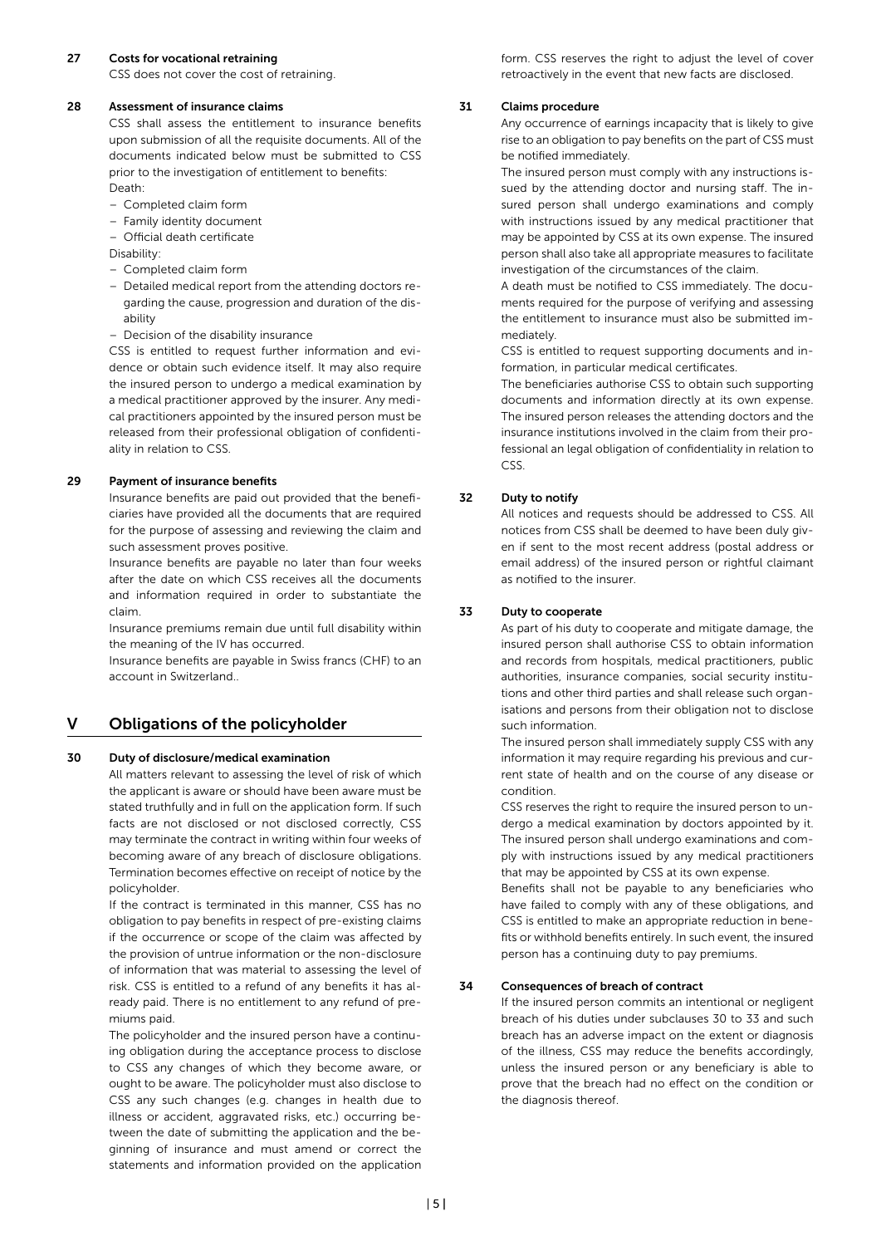#### 27 Costs for vocational retraining

CSS does not cover the cost of retraining.

#### 28 Assessment of insurance claims

CSS shall assess the entitlement to insurance benefits upon submission of all the requisite documents. All of the documents indicated below must be submitted to CSS prior to the investigation of entitlement to benefits: Death:

- Completed claim form
- Family identity document
- Official death certificate
- Disability:
- Completed claim form
- Detailed medical report from the attending doctors regarding the cause, progression and duration of the disability
- Decision of the disability insurance

CSS is entitled to request further information and evidence or obtain such evidence itself. It may also require the insured person to undergo a medical examination by a medical practitioner approved by the insurer. Any medical practitioners appointed by the insured person must be released from their professional obligation of confidentiality in relation to CSS.

#### 29 Payment of insurance benefits

Insurance benefits are paid out provided that the beneficiaries have provided all the documents that are required for the purpose of assessing and reviewing the claim and such assessment proves positive.

Insurance benefits are payable no later than four weeks after the date on which CSS receives all the documents and information required in order to substantiate the claim.

Insurance premiums remain due until full disability within the meaning of the IV has occurred.

Insurance benefits are payable in Swiss francs (CHF) to an account in Switzerland..

# V Obligations of the policyholder

#### 30 Duty of disclosure/medical examination

All matters relevant to assessing the level of risk of which the applicant is aware or should have been aware must be stated truthfully and in full on the application form. If such facts are not disclosed or not disclosed correctly, CSS may terminate the contract in writing within four weeks of becoming aware of any breach of disclosure obligations. Termination becomes effective on receipt of notice by the policyholder.

If the contract is terminated in this manner, CSS has no obligation to pay benefits in respect of pre-existing claims if the occurrence or scope of the claim was affected by the provision of untrue information or the non-disclosure of information that was material to assessing the level of risk. CSS is entitled to a refund of any benefits it has already paid. There is no entitlement to any refund of premiums paid.

The policyholder and the insured person have a continuing obligation during the acceptance process to disclose to CSS any changes of which they become aware, or ought to be aware. The policyholder must also disclose to CSS any such changes (e.g. changes in health due to illness or accident, aggravated risks, etc.) occurring between the date of submitting the application and the beginning of insurance and must amend or correct the statements and information provided on the application

form. CSS reserves the right to adjust the level of cover retroactively in the event that new facts are disclosed.

#### 31 Claims procedure

Any occurrence of earnings incapacity that is likely to give rise to an obligation to pay benefits on the part of CSS must be notified immediately.

The insured person must comply with any instructions issued by the attending doctor and nursing staff. The insured person shall undergo examinations and comply with instructions issued by any medical practitioner that may be appointed by CSS at its own expense. The insured person shall also take all appropriate measures to facilitate investigation of the circumstances of the claim.

A death must be notified to CSS immediately. The documents required for the purpose of verifying and assessing the entitlement to insurance must also be submitted immediately.

CSS is entitled to request supporting documents and information, in particular medical certificates.

The beneficiaries authorise CSS to obtain such supporting documents and information directly at its own expense. The insured person releases the attending doctors and the insurance institutions involved in the claim from their professional an legal obligation of confidentiality in relation to CSS.

#### 32 Duty to notify

All notices and requests should be addressed to CSS. All notices from CSS shall be deemed to have been duly given if sent to the most recent address (postal address or email address) of the insured person or rightful claimant as notified to the insurer.

#### 33 Duty to cooperate

As part of his duty to cooperate and mitigate damage, the insured person shall authorise CSS to obtain information and records from hospitals, medical practitioners, public authorities, insurance companies, social security institutions and other third parties and shall release such organisations and persons from their obligation not to disclose such information.

The insured person shall immediately supply CSS with any information it may require regarding his previous and current state of health and on the course of any disease or condition.

CSS reserves the right to require the insured person to undergo a medical examination by doctors appointed by it. The insured person shall undergo examinations and comply with instructions issued by any medical practitioners that may be appointed by CSS at its own expense.

Benefits shall not be payable to any beneficiaries who have failed to comply with any of these obligations, and CSS is entitled to make an appropriate reduction in benefits or withhold benefits entirely. In such event, the insured person has a continuing duty to pay premiums.

#### 34 Consequences of breach of contract

If the insured person commits an intentional or negligent breach of his duties under subclauses 30 to 33 and such breach has an adverse impact on the extent or diagnosis of the illness, CSS may reduce the benefits accordingly, unless the insured person or any beneficiary is able to prove that the breach had no effect on the condition or the diagnosis thereof.